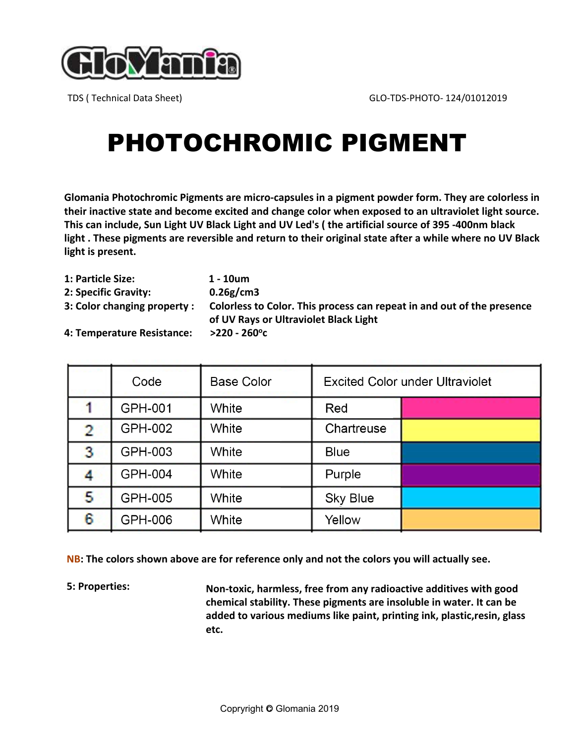

# PHOTOCHROMIC PIGMENT

**Glomania Photochromic Pigments are micro-capsules in a pigment powder form. They are colorless in their inactive state and become excited and change color when exposed to an ultraviolet light source. This can include, Sun Light UV Black Light and UV Led's ( the artificial source of 395 -400nm black light . These pigments are reversible and return to their original state after a while where no UV Black light is present.**

| 1: Particle Size:           | 1 - 10um                                                                                                        |
|-----------------------------|-----------------------------------------------------------------------------------------------------------------|
| 2: Specific Gravity:        | 0.26g/cm3                                                                                                       |
| 3: Color changing property: | Colorless to Color. This process can repeat in and out of the presence<br>of UV Rays or Ultraviolet Black Light |
| 4: Temperature Resistance:  | $>$ 220 - 260°c                                                                                                 |

|                | Code           | <b>Base Color</b> | <b>Excited Color under Ultraviolet</b> |  |
|----------------|----------------|-------------------|----------------------------------------|--|
|                | GPH-001        | White             | Red                                    |  |
| $\overline{2}$ | <b>GPH-002</b> | White             | Chartreuse                             |  |
| 3              | GPH-003        | White             | <b>Blue</b>                            |  |
|                | <b>GPH-004</b> | White             | Purple                                 |  |
| 5.             | <b>GPH-005</b> | White             | <b>Sky Blue</b>                        |  |
| 6              | GPH-006        | White             | Yellow                                 |  |

**NB: The colors shown above are for reference only and not the colors you will actually see.**

**5: Properties: Non-toxic, harmless, free from any radioactive additives with good chemical stability. These pigments are insoluble in water. It can be added to various mediums like paint, printing ink, plastic,resin, glass etc.**